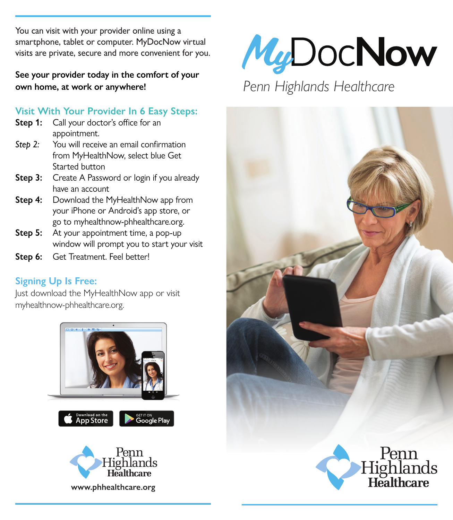You can visit with your provider online using a smartphone, tablet or computer. MyDocNow virtual visits are private, secure and more convenient for you.

**See your provider today in the comfort of your own home, at work or anywhere!**

## **Visit With Your Provider In 6 Easy Steps:**

- **Step 1:** Call your doctor's office for an appointment.
- **Step 2:** You will receive an email confirmation from MyHealthNow, select blue Get Started button
- **Step 3:** Create A Password or login if you already have an account
- **Step 4:** Download the MyHealthNow app from your iPhone or Android's app store, or go to myhealthnow-phhealthcare.org.
- **Step 5:** At your appointment time, a pop-up window will prompt you to start your visit
- Step 6: Get Treatment. Feel better!

## **Signing Up Is Free:**

Just download the MyHealthNow app or visit myhealthnow-phhealthcare.org.



**www.phhealthcare.org**



# *Penn Highlands Healthcare*